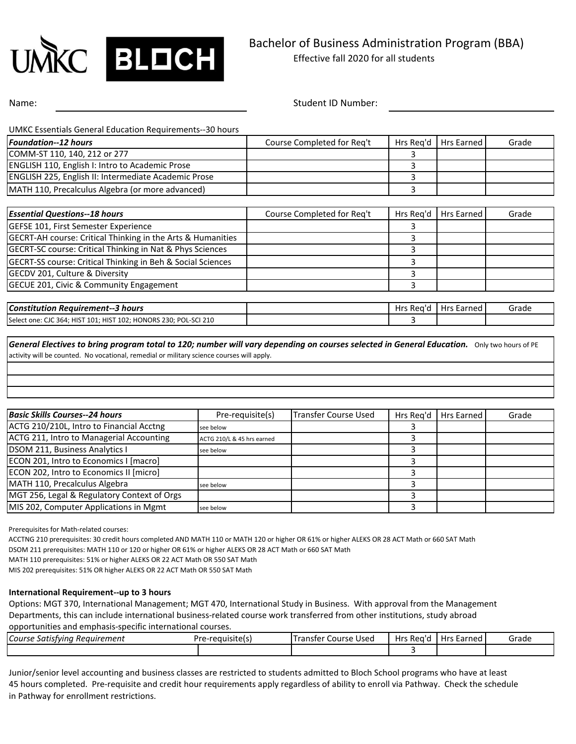

Name: Student ID Number: Student ID Number:

UMKC Essentials General Education Requirements--30 hours

| Foundation--12 hours                                                   | Course Completed for Req't | Hrs Reg'd | Hrs Earned        | Grade |
|------------------------------------------------------------------------|----------------------------|-----------|-------------------|-------|
| COMM-ST 110, 140, 212 or 277                                           |                            |           |                   |       |
| ENGLISH 110, English I: Intro to Academic Prose                        |                            | 3         |                   |       |
| ENGLISH 225, English II: Intermediate Academic Prose                   |                            | 3         |                   |       |
| MATH 110, Precalculus Algebra (or more advanced)                       |                            | 3         |                   |       |
|                                                                        |                            |           |                   |       |
| <b>Essential Questions--18 hours</b>                                   | Course Completed for Reg't | Hrs Reg'd | <b>Hrs Earned</b> | Grade |
| GEFSE 101, First Semester Experience                                   |                            |           |                   |       |
| <b>GECRT-AH course: Critical Thinking in the Arts &amp; Humanities</b> |                            | 3         |                   |       |
| <b>GECRT-SC course: Critical Thinking in Nat &amp; Phys Sciences</b>   |                            | 3         |                   |       |
| <b>GECRT-SS course: Critical Thinking in Beh &amp; Social Sciences</b> |                            | ς         |                   |       |
| GECDV 201, Culture & Diversity                                         |                            | 3         |                   |       |
| GECUE 201, Civic & Community Engagement                                |                            | 3         |                   |       |
|                                                                        |                            |           |                   |       |
| <b>Constitution Requirement--3 hours</b>                               |                            | Hrs Reg'd | <b>Hrs Earned</b> | Grade |
| Select one: CJC 364; HIST 101; HIST 102; HONORS 230; POL-SCI 210       |                            | 3         |                   |       |

General Electives to bring program total to 120; number will vary depending on courses selected in General Education. Only two hours of PE activity will be counted. No vocational, remedial or military science courses will apply.

| <b>Basic Skills Courses--24 hours</b>       | Pre-requisite(s)           | Transfer Course Used | Hrs Rea'd | Hrs Earned | Grade |
|---------------------------------------------|----------------------------|----------------------|-----------|------------|-------|
| ACTG 210/210L, Intro to Financial Acctng    | see below                  |                      |           |            |       |
| ACTG 211, Intro to Managerial Accounting    | ACTG 210/L & 45 hrs earned |                      |           |            |       |
| DSOM 211, Business Analytics I              | see below                  |                      |           |            |       |
| ECON 201, Intro to Economics I [macro]      |                            |                      |           |            |       |
| ECON 202, Intro to Economics II [micro]     |                            |                      |           |            |       |
| MATH 110, Precalculus Algebra               | see below                  |                      |           |            |       |
| MGT 256, Legal & Regulatory Context of Orgs |                            |                      |           |            |       |
| MIS 202, Computer Applications in Mgmt      | see below                  |                      |           |            |       |

Prerequisites for Math-related courses:

ACCTNG 210 prerequisites: 30 credit hours completed AND MATH 110 or MATH 120 or higher OR 61% or higher ALEKS OR 28 ACT Math or 660 SAT Math

DSOM 211 prerequisites: MATH 110 or 120 or higher OR 61% or higher ALEKS OR 28 ACT Math or 660 SAT Math

MATH 110 prerequisites: 51% or higher ALEKS OR 22 ACT Math OR 550 SAT Math

MIS 202 prerequisites: 51% OR higher ALEKS OR 22 ACT Math OR 550 SAT Math

### **International Requirement--up to 3 hours**

Options: MGT 370, International Management; MGT 470, International Study in Business. With approval from the Management Departments, this can include international business-related course work transferred from other institutions, study abroad opportunities and emphasis-specific international courses.

| Course Satisfvina<br>1 Reauirement | Pre-requisite(s) | franster<br>Used<br>Course | Hrs Rea'r' | <b>Live</b><br>: Earned<br><b>TIS</b> | Grade |
|------------------------------------|------------------|----------------------------|------------|---------------------------------------|-------|
|                                    |                  |                            |            |                                       |       |

Junior/senior level accounting and business classes are restricted to students admitted to Bloch School programs who have at least 45 hours completed. Pre-requisite and credit hour requirements apply regardless of ability to enroll via Pathway. Check the schedule in Pathway for enrollment restrictions.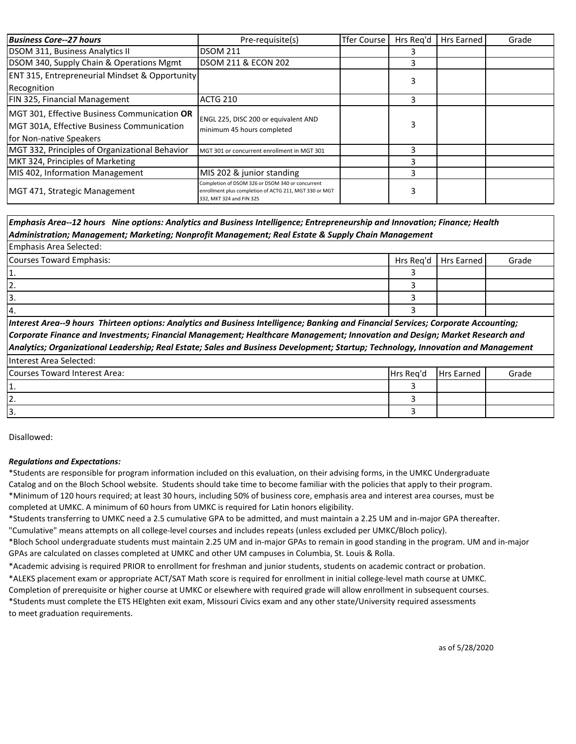| <b>Business Core--27 hours</b>                                                                                        | Pre-requisite(s)                                                                                                                       | <b>Tfer Course</b> | Hrs Rea'd | Hrs Earned | Grade |
|-----------------------------------------------------------------------------------------------------------------------|----------------------------------------------------------------------------------------------------------------------------------------|--------------------|-----------|------------|-------|
| DSOM 311, Business Analytics II                                                                                       | DSOM 211                                                                                                                               |                    |           |            |       |
| DSOM 340, Supply Chain & Operations Mgmt                                                                              | <b>DSOM 211 &amp; ECON 202</b>                                                                                                         |                    |           |            |       |
| <b>ENT 315, Entrepreneurial Mindset &amp; Opportunity</b><br>Recognition                                              |                                                                                                                                        |                    |           |            |       |
| FIN 325, Financial Management                                                                                         | <b>ACTG 210</b>                                                                                                                        |                    | ੨         |            |       |
| MGT 301, Effective Business Communication OR<br>MGT 301A, Effective Business Communication<br>for Non-native Speakers | ENGL 225, DISC 200 or equivalent AND<br>minimum 45 hours completed                                                                     |                    |           |            |       |
| MGT 332, Principles of Organizational Behavior                                                                        | MGT 301 or concurrent enrollment in MGT 301                                                                                            |                    |           |            |       |
| MKT 324, Principles of Marketing                                                                                      |                                                                                                                                        |                    |           |            |       |
| MIS 402, Information Management                                                                                       | MIS 202 & junior standing                                                                                                              |                    |           |            |       |
| MGT 471, Strategic Management                                                                                         | Completion of DSOM 326 or DSOM 340 or concurrent<br>enrollment plus completion of ACTG 211, MGT 330 or MGT<br>332, MKT 324 and FIN 325 |                    |           |            |       |

*Emphasis Area--12 hours Nine options: Analytics and Business Intelligence; Entrepreneurship and Innovation; Finance; Health Administration; Management; Marketing; Nonprofit Management; Real Estate & Supply Chain Management*

### Hrs Req'd | Hrs Earned | Grade 3 3 3 3 4. Emphasis Area Selected: Courses Toward Emphasis: 1. 2. 3.

 $\overline{\phantom{a}}$ *Interest Area--9 hours Thirteen options: Analytics and Business Intelligence; Banking and Financial Services; Corporate Accounting; Corporate Finance and Investments; Financial Management; Healthcare Management; Innovation and Design; Market Research and Analytics; Organizational Leadership; Real Estate; Sales and Business Development; Startup; Technology, Innovation and Management* 

| Tinterest Area Selected:      |           |                   |       |
|-------------------------------|-----------|-------------------|-------|
| Courses Toward Interest Area: | Hrs Reg'd | <b>Hrs Earned</b> | Grade |
| .                             |           |                   |       |
| 12.                           |           |                   |       |
| 13.                           |           |                   |       |

Disallowed:

## *Regulations and Expectations:*

\*Students are responsible for program information included on this evaluation, on their advising forms, in the UMKC Undergraduate Catalog and on the Bloch School website. Students should take time to become familiar with the policies that apply to their program. \*Minimum of 120 hours required; at least 30 hours, including 50% of business core, emphasis area and interest area courses, must be completed at UMKC. A minimum of 60 hours from UMKC is required for Latin honors eligibility.

\*Students transferring to UMKC need a 2.5 cumulative GPA to be admitted, and must maintain a 2.25 UM and in-major GPA thereafter. "Cumulative" means attempts on all college-level courses and includes repeats (unless excluded per UMKC/Bloch policy).

\*Bloch School undergraduate students must maintain 2.25 UM and in-major GPAs to remain in good standing in the program. UM and in-major GPAs are calculated on classes completed at UMKC and other UM campuses in Columbia, St. Louis & Rolla.

\*Academic advising is required PRIOR to enrollment for freshman and junior students, students on academic contract or probation.

\*ALEKS placement exam or appropriate ACT/SAT Math score is required for enrollment in initial college-level math course at UMKC.

Completion of prerequisite or higher course at UMKC or elsewhere with required grade will allow enrollment in subsequent courses. \*Students must complete the ETS HEIghten exit exam, Missouri Civics exam and any other state/University required assessments to meet graduation requirements.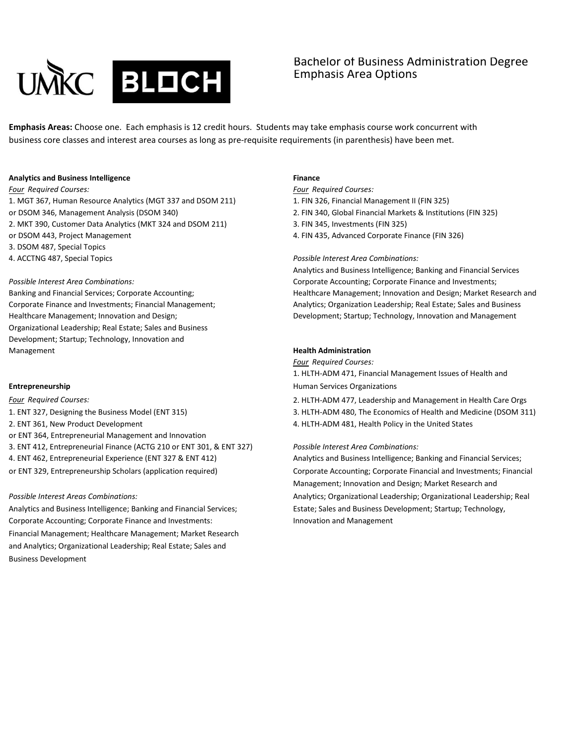

# Bachelor of Business Administration Degree Emphasis Area Options

**Emphasis Areas:** Choose one. Each emphasis is 12 credit hours. Students may take emphasis course work concurrent with business core classes and interest area courses as long as pre-requisite requirements (in parenthesis) have been met.

### **Analytics and Business Intelligence Finance**

1. MGT 367, Human Resource Analytics (MGT 337 and DSOM 211) 1. FIN 326, Financial Management II (FIN 325) or DSOM 346, Management Analysis (DSOM 340) 2. FIN 340, Global Financial Markets & Institutions (FIN 325) 2. MKT 390, Customer Data Analytics (MKT 324 and DSOM 211) 3. FIN 345, Investments (FIN 325) or DSOM 443, Project Management 4. FIN 435, Advanced Corporate Finance (FIN 326) 3. DSOM 487, Special Topics 4. ACCTNG 487, Special Topics *Possible Interest Area Combinations:*

Organizational Leadership; Real Estate; Sales and Business Development; Startup; Technology, Innovation and **Management Health Administration Health Administration** 

1. ENT 327, Designing the Business Model (ENT 315) 3. HLTH-ADM 480, The Economics of Health and Medicine (DSOM 311) 2. ENT 361, New Product Development 2. ENT 361, New Product Development 4. HLTH-ADM 481, Health Policy in the United States or ENT 364, Entrepreneurial Management and Innovation 3. ENT 412, Entrepreneurial Finance (ACTG 210 or ENT 301, & ENT 327) *Possible Interest Area Combinations:* 4. ENT 462, Entrepreneurial Experience (ENT 327 & ENT 412) Analytics and Business Intelligence; Banking and Financial Services; or ENT 329, Entrepreneurship Scholars (application required) Corporate Accounting; Corporate Financial and Investments; Financial

Analytics and Business Intelligence; Banking and Financial Services; Estate; Sales and Business Development; Startup; Technology, Corporate Accounting; Corporate Finance and Investments: **Innovation and Management** Financial Management; Healthcare Management; Market Research and Analytics; Organizational Leadership; Real Estate; Sales and Business Development

*Four Required Courses: Four Required Courses:*

- 
- 

Analytics and Business Intelligence; Banking and Financial Services *Possible Interest Area Combinations:* Corporate Accounting; Corporate Finance and Investments; Banking and Financial Services; Corporate Accounting; Healthcare Management; Innovation and Design; Market Research and Corporate Finance and Investments; Financial Management; Analytics; Organization Leadership; Real Estate; Sales and Business Healthcare Management; Innovation and Design; Development; Startup; Technology, Innovation and Management

*Four Required Courses:*

1. HLTH-ADM 471, Financial Management Issues of Health and **Entrepreneurship Entrepreneurship Entrepreneurship Human Services Organizations** 

*Four Required Courses:* 2. HLTH-ADM 477, Leadership and Management in Health Care Orgs

Management; Innovation and Design; Market Research and *Possible Interest Areas Combinations:* Analytics; Organizational Leadership; Organizational Leadership; Real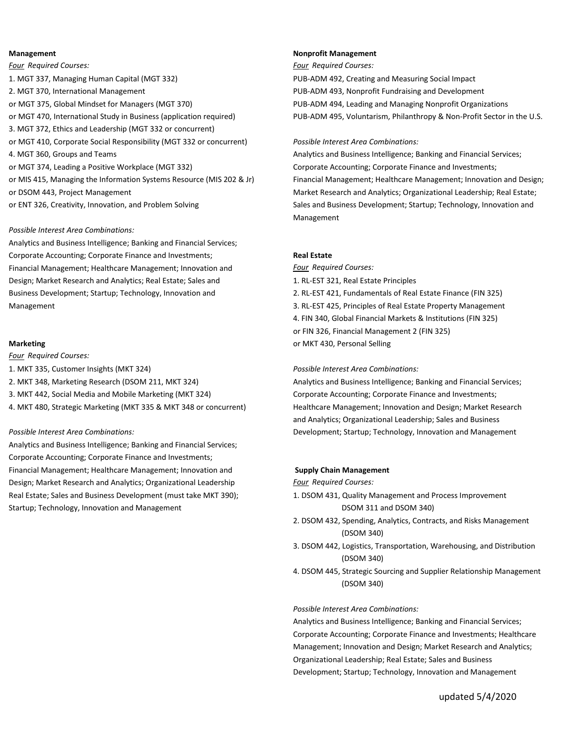*Four Required Courses: Four Required Courses:* 1. MGT 337, Managing Human Capital (MGT 332) PUB-ADM 492, Creating and Measuring Social Impact 2. MGT 370, International Management PUB-ADM 493, Nonprofit Fundraising and Development or MGT 375, Global Mindset for Managers (MGT 370) PUB-ADM 494, Leading and Managing Nonprofit Organizations or MGT 470, International Study in Business (application required) PUB-ADM 495, Voluntarism, Philanthropy & Non-Profit Sector in the U.S. 3. MGT 372, Ethics and Leadership (MGT 332 or concurrent) or MGT 410, Corporate Social Responsibility (MGT 332 or concurrent) *Possible Interest Area Combinations:* 4. MGT 360, Groups and Teams **Analytics and Business Intelligence**; Banking and Financial Services; or MGT 374, Leading a Positive Workplace (MGT 332) Corporate Accounting; Corporate Finance and Investments; or DSOM 443, Project Management Market Research and Analytics; Organizational Leadership; Real Estate;

### *Possible Interest Area Combinations:*

Analytics and Business Intelligence; Banking and Financial Services; Corporate Accounting; Corporate Finance and Investments; **Real Estate** Financial Management; Healthcare Management; Innovation and *Four Required Courses:* Design; Market Research and Analytics; Real Estate; Sales and 1. RL-EST 321, Real Estate Principles Business Development; Startup; Technology, Innovation and 2. RL-EST 421, Fundamentals of Real Estate Finance (FIN 325) Management 3. RL-EST 425, Principles of Real Estate Property Management

*Four Required Courses:*

- 1. MKT 335, Customer Insights (MKT 324) *Possible Interest Area Combinations:*
- 
- 
- 

Analytics and Business Intelligence; Banking and Financial Services; Corporate Accounting; Corporate Finance and Investments; Financial Management; Healthcare Management; Innovation and **Supply Chain Management** Design; Market Research and Analytics; Organizational Leadership *Four Required Courses:* Real Estate; Sales and Business Development (must take MKT 390); 1. DSOM 431, Quality Management and Process Improvement Startup; Technology, Innovation and Management DSOM 311 and DSOM 340)

### **Management Nonprofit Management**

or MIS 415, Managing the Information Systems Resource (MIS 202 & Jr) Financial Management; Healthcare Management; Innovation and Design; or ENT 326, Creativity, Innovation, and Problem Solving Sales and Business Development; Startup; Technology, Innovation and Management

4. FIN 340, Global Financial Markets & Institutions (FIN 325) or FIN 326, Financial Management 2 (FIN 325)

**Marketing** or MKT 430, Personal Selling

2. MKT 348, Marketing Research (DSOM 211, MKT 324) Analytics and Business Intelligence; Banking and Financial Services; 3. MKT 442, Social Media and Mobile Marketing (MKT 324) Corporate Accounting; Corporate Finance and Investments; 4. MKT 480, Strategic Marketing (MKT 335 & MKT 348 or concurrent) Healthcare Management; Innovation and Design; Market Research and Analytics; Organizational Leadership; Sales and Business *Possible Interest Area Combinations:* Development; Startup; Technology, Innovation and Management

- 
- 2. DSOM 432, Spending, Analytics, Contracts, and Risks Management (DSOM 340)
- 3. DSOM 442, Logistics, Transportation, Warehousing, and Distribution (DSOM 340)
- 4. DSOM 445, Strategic Sourcing and Supplier Relationship Management (DSOM 340)

### *Possible Interest Area Combinations:*

Analytics and Business Intelligence; Banking and Financial Services; Corporate Accounting; Corporate Finance and Investments; Healthcare Management; Innovation and Design; Market Research and Analytics; Organizational Leadership; Real Estate; Sales and Business Development; Startup; Technology, Innovation and Management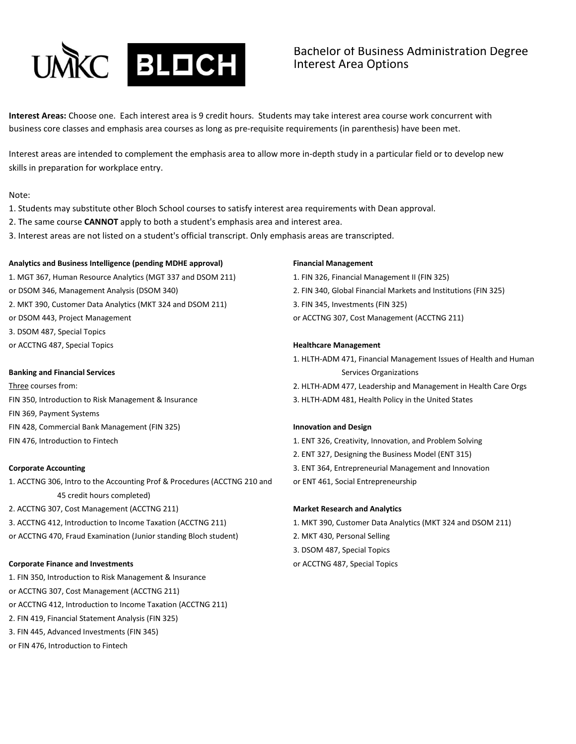

## Bachelor of Business Administration Degree Interest Area Options

**Interest Areas:** Choose one. Each interest area is 9 credit hours. Students may take interest area course work concurrent with business core classes and emphasis area courses as long as pre-requisite requirements (in parenthesis) have been met.

Interest areas are intended to complement the emphasis area to allow more in-depth study in a particular field or to develop new skills in preparation for workplace entry.

### Note:

- 1. Students may substitute other Bloch School courses to satisfy interest area requirements with Dean approval.
- 2. The same course **CANNOT** apply to both a student's emphasis area and interest area.
- 3. Interest areas are not listed on a student's official transcript. Only emphasis areas are transcripted.

### **Analytics and Business Intelligence (pending MDHE approval) Financial Management**

1. MGT 367, Human Resource Analytics (MGT 337 and DSOM 211) 1. FIN 326, Financial Management II (FIN 325) or DSOM 346, Management Analysis (DSOM 340) 2. FIN 340, Global Financial Markets and Institutions (FIN 325) 2. MKT 390, Customer Data Analytics (MKT 324 and DSOM 211) 3. FIN 345, Investments (FIN 325) or DSOM 443, Project Management or ACCTNG 307, Cost Management (ACCTNG 211) 3. DSOM 487, Special Topics or ACCTNG 487, Special Topics **Healthcare Management Healthcare Management** 

FIN 350, Introduction to Risk Management & Insurance 3. HLTH-ADM 481, Health Policy in the United States FIN 369, Payment Systems FIN 428, Commercial Bank Management (FIN 325) **Innovation and Design**

1. ACCTNG 306, Intro to the Accounting Prof & Procedures (ACCTNG 210 and or ENT 461, Social Entrepreneurship 45 credit hours completed) 2. ACCTNG 307, Cost Management (ACCTNG 211) **Market Research and Analytics** 3. ACCTNG 412, Introduction to Income Taxation (ACCTNG 211) 1. MKT 390, Customer Data Analytics (MKT 324 and DSOM 211) or ACCTNG 470, Fraud Examination (Junior standing Bloch student) 2. MKT 430, Personal Selling

### **Corporate Finance and Investments Corporate Finance and Investments or ACCTNG 487, Special Topics**

1. FIN 350, Introduction to Risk Management & Insurance or ACCTNG 307, Cost Management (ACCTNG 211) or ACCTNG 412, Introduction to Income Taxation (ACCTNG 211) 2. FIN 419, Financial Statement Analysis (FIN 325) 3. FIN 445, Advanced Investments (FIN 345) or FIN 476, Introduction to Fintech

- 1. HLTH-ADM 471, Financial Management Issues of Health and Human **Banking and Financial Services** Services Services Organizations Services Organizations Services Organizations
- Three courses from: 2. HLTH-ADM 477, Leadership and Management in Health Care Orgs
	-

- FIN 476, Introduction to Fintech 1. ENT 326, Creativity, Innovation, and Problem Solving
	- 2. ENT 327, Designing the Business Model (ENT 315)
- **Corporate Accounting** 3. ENT 364, Entrepreneurial Management and Innovation
	-

- 
- 
- 3. DSOM 487, Special Topics
-